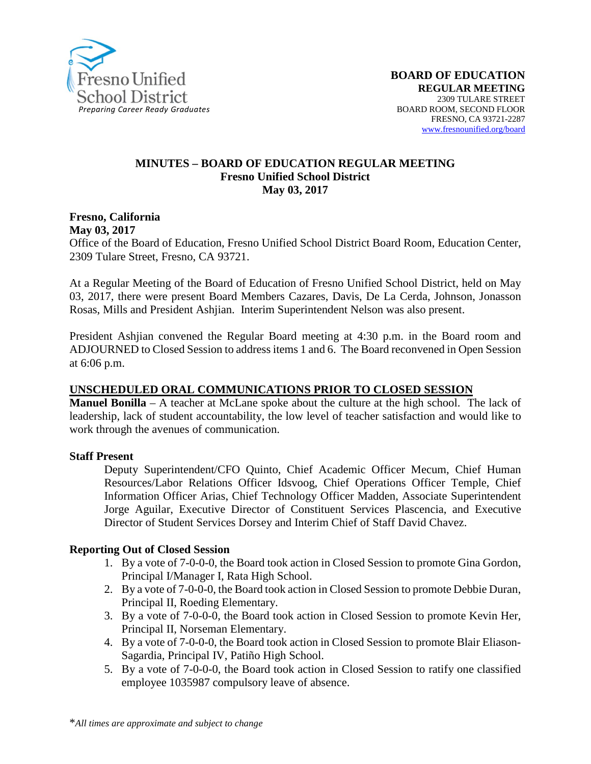

#### **MINUTES – BOARD OF EDUCATION REGULAR MEETING Fresno Unified School District May 03, 2017**

#### **Fresno, California May 03, 2017**

Office of the Board of Education, Fresno Unified School District Board Room, Education Center, 2309 Tulare Street, Fresno, CA 93721.

At a Regular Meeting of the Board of Education of Fresno Unified School District, held on May 03, 2017, there were present Board Members Cazares, Davis, De La Cerda, Johnson, Jonasson Rosas, Mills and President Ashjian. Interim Superintendent Nelson was also present.

President Ashjian convened the Regular Board meeting at 4:30 p.m. in the Board room and ADJOURNED to Closed Session to address items 1 and 6. The Board reconvened in Open Session at 6:06 p.m.

### **UNSCHEDULED ORAL COMMUNICATIONS PRIOR TO CLOSED SESSION**

**Manuel Bonilla** – A teacher at McLane spoke about the culture at the high school. The lack of leadership, lack of student accountability, the low level of teacher satisfaction and would like to work through the avenues of communication.

### **Staff Present**

Deputy Superintendent/CFO Quinto, Chief Academic Officer Mecum, Chief Human Resources/Labor Relations Officer Idsvoog, Chief Operations Officer Temple, Chief Information Officer Arias, Chief Technology Officer Madden, Associate Superintendent Jorge Aguilar, Executive Director of Constituent Services Plascencia, and Executive Director of Student Services Dorsey and Interim Chief of Staff David Chavez.

### **Reporting Out of Closed Session**

- 1. By a vote of 7-0-0-0, the Board took action in Closed Session to promote Gina Gordon, Principal I/Manager I, Rata High School.
- 2. By a vote of 7-0-0-0, the Board took action in Closed Session to promote Debbie Duran, Principal II, Roeding Elementary.
- 3. By a vote of 7-0-0-0, the Board took action in Closed Session to promote Kevin Her, Principal II, Norseman Elementary.
- 4. By a vote of 7-0-0-0, the Board took action in Closed Session to promote Blair Eliason-Sagardia, Principal IV, Patiño High School.
- 5. By a vote of 7-0-0-0, the Board took action in Closed Session to ratify one classified employee 1035987 compulsory leave of absence.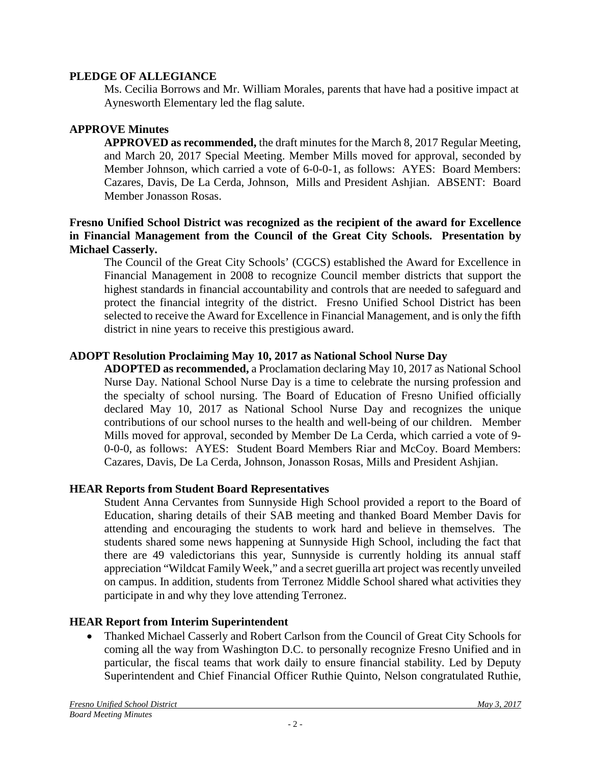### **PLEDGE OF ALLEGIANCE**

Ms. Cecilia Borrows and Mr. William Morales, parents that have had a positive impact at Aynesworth Elementary led the flag salute.

## **APPROVE Minutes**

**APPROVED as recommended,** the draft minutes for the March 8, 2017 Regular Meeting, and March 20, 2017 Special Meeting. Member Mills moved for approval, seconded by Member Johnson, which carried a vote of 6-0-0-1, as follows: AYES: Board Members: Cazares, Davis, De La Cerda, Johnson, Mills and President Ashjian. ABSENT: Board Member Jonasson Rosas.

### **Fresno Unified School District was recognized as the recipient of the award for Excellence in Financial Management from the Council of the Great City Schools. Presentation by Michael Casserly.**

The Council of the Great City Schools' (CGCS) established the Award for Excellence in Financial Management in 2008 to recognize Council member districts that support the highest standards in financial accountability and controls that are needed to safeguard and protect the financial integrity of the district. Fresno Unified School District has been selected to receive the Award for Excellence in Financial Management, and is only the fifth district in nine years to receive this prestigious award.

## **ADOPT Resolution Proclaiming May 10, 2017 as National School Nurse Day**

**ADOPTED as recommended,** a Proclamation declaring May 10, 2017 as National School Nurse Day. National School Nurse Day is a time to celebrate the nursing profession and the specialty of school nursing. The Board of Education of Fresno Unified officially declared May 10, 2017 as National School Nurse Day and recognizes the unique contributions of our school nurses to the health and well-being of our children. Member Mills moved for approval, seconded by Member De La Cerda, which carried a vote of 9- 0-0-0, as follows: AYES: Student Board Members Riar and McCoy. Board Members: Cazares, Davis, De La Cerda, Johnson, Jonasson Rosas, Mills and President Ashjian.

## **HEAR Reports from Student Board Representatives**

Student Anna Cervantes from Sunnyside High School provided a report to the Board of Education, sharing details of their SAB meeting and thanked Board Member Davis for attending and encouraging the students to work hard and believe in themselves. The students shared some news happening at Sunnyside High School, including the fact that there are 49 valedictorians this year, Sunnyside is currently holding its annual staff appreciation "Wildcat Family Week," and a secret guerilla art project was recently unveiled on campus. In addition, students from Terronez Middle School shared what activities they participate in and why they love attending Terronez.

## **HEAR Report from Interim Superintendent**

• Thanked Michael Casserly and Robert Carlson from the Council of Great City Schools for coming all the way from Washington D.C. to personally recognize Fresno Unified and in particular, the fiscal teams that work daily to ensure financial stability. Led by Deputy Superintendent and Chief Financial Officer Ruthie Quinto, Nelson congratulated Ruthie,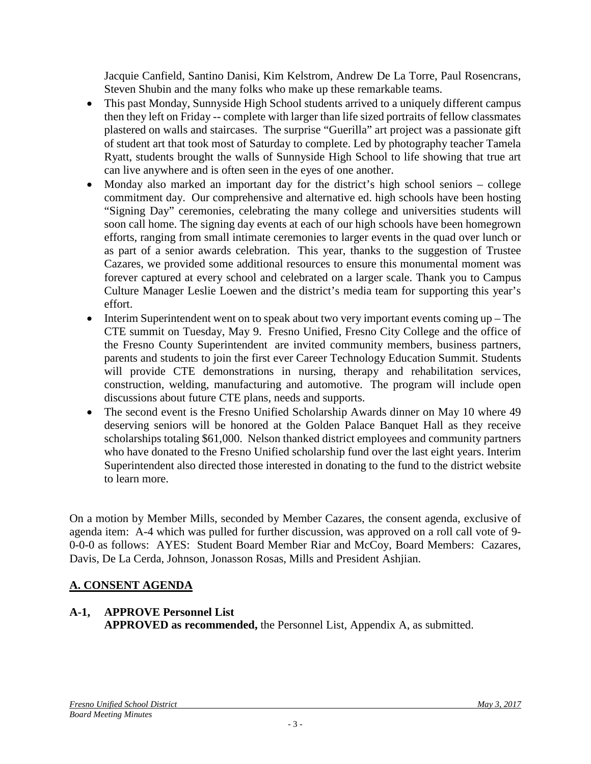Jacquie Canfield, Santino Danisi, Kim Kelstrom, Andrew De La Torre, Paul Rosencrans, Steven Shubin and the many folks who make up these remarkable teams.

- This past Monday, Sunnyside High School students arrived to a uniquely different campus then they left on Friday -- complete with larger than life sized portraits of fellow classmates plastered on walls and staircases. The surprise "Guerilla" art project was a passionate gift of student art that took most of Saturday to complete. Led by photography teacher Tamela Ryatt, students brought the walls of Sunnyside High School to life showing that true art can live anywhere and is often seen in the eyes of one another.
- Monday also marked an important day for the district's high school seniors college commitment day. Our comprehensive and alternative ed. high schools have been hosting "Signing Day" ceremonies, celebrating the many college and universities students will soon call home. The signing day events at each of our high schools have been homegrown efforts, ranging from small intimate ceremonies to larger events in the quad over lunch or as part of a senior awards celebration. This year, thanks to the suggestion of Trustee Cazares, we provided some additional resources to ensure this monumental moment was forever captured at every school and celebrated on a larger scale. Thank you to Campus Culture Manager Leslie Loewen and the district's media team for supporting this year's effort.
- Interim Superintendent went on to speak about two very important events coming up The CTE summit on Tuesday, May 9. Fresno Unified, Fresno City College and the office of the Fresno County Superintendent are invited community members, business partners, parents and students to join the first ever Career Technology Education Summit. Students will provide CTE demonstrations in nursing, therapy and rehabilitation services, construction, welding, manufacturing and automotive. The program will include open discussions about future CTE plans, needs and supports.
- The second event is the Fresno Unified Scholarship Awards dinner on May 10 where 49 deserving seniors will be honored at the Golden Palace Banquet Hall as they receive scholarships totaling \$61,000. Nelson thanked district employees and community partners who have donated to the Fresno Unified scholarship fund over the last eight years. Interim Superintendent also directed those interested in donating to the fund to the [district website](https://www.fresnounified.org/Pages/fusd-scholarship.aspx) to learn more.

On a motion by Member Mills, seconded by Member Cazares, the consent agenda, exclusive of agenda item: A-4 which was pulled for further discussion, was approved on a roll call vote of 9- 0-0-0 as follows: AYES: Student Board Member Riar and McCoy, Board Members: Cazares, Davis, De La Cerda, Johnson, Jonasson Rosas, Mills and President Ashjian.

## **A. CONSENT AGENDA**

# **A-1, APPROVE Personnel List**

**APPROVED as recommended,** the Personnel List, Appendix A, as submitted.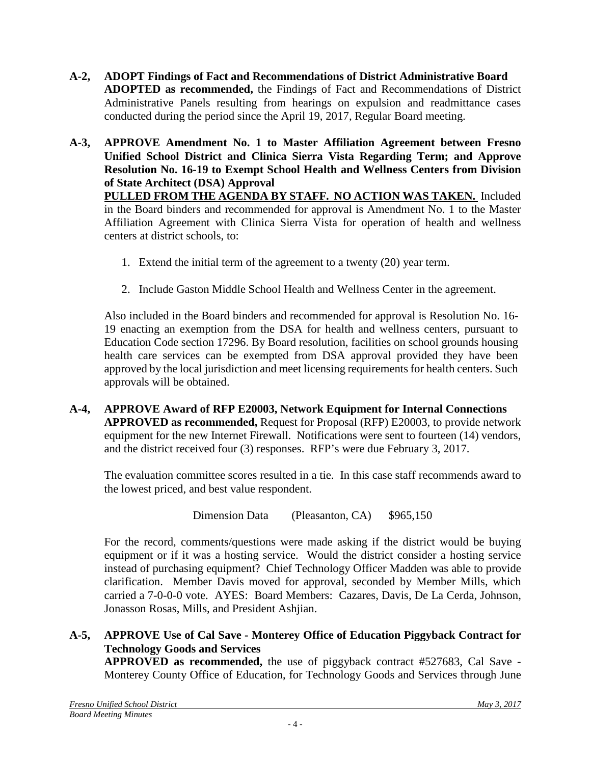- **A-2, ADOPT Findings of Fact and Recommendations of District Administrative Board ADOPTED as recommended,** the Findings of Fact and Recommendations of District Administrative Panels resulting from hearings on expulsion and readmittance cases conducted during the period since the April 19, 2017, Regular Board meeting.
- **A-3, APPROVE Amendment No. 1 to Master Affiliation Agreement between Fresno Unified School District and Clinica Sierra Vista Regarding Term; and Approve Resolution No. 16-19 to Exempt School Health and Wellness Centers from Division of State Architect (DSA) Approval PULLED FROM THE AGENDA BY STAFF. NO ACTION WAS TAKEN.** Included in the Board binders and recommended for approval is Amendment No. 1 to the Master Affiliation Agreement with Clinica Sierra Vista for operation of health and wellness centers at district schools, to:
	- 1. Extend the initial term of the agreement to a twenty (20) year term.
	- 2. Include Gaston Middle School Health and Wellness Center in the agreement.

Also included in the Board binders and recommended for approval is Resolution No. 16- 19 enacting an exemption from the DSA for health and wellness centers, pursuant to Education Code section 17296. By Board resolution, facilities on school grounds housing health care services can be exempted from DSA approval provided they have been approved by the local jurisdiction and meet licensing requirements for health centers. Such approvals will be obtained.

**A-4, APPROVE Award of RFP E20003, Network Equipment for Internal Connections APPROVED as recommended,** Request for Proposal (RFP) E20003, to provide network equipment for the new Internet Firewall. Notifications were sent to fourteen (14) vendors, and the district received four (3) responses. RFP's were due February 3, 2017.

The evaluation committee scores resulted in a tie. In this case staff recommends award to the lowest priced, and best value respondent.

Dimension Data (Pleasanton, CA) \$965,150

For the record, comments/questions were made asking if the district would be buying equipment or if it was a hosting service. Would the district consider a hosting service instead of purchasing equipment? Chief Technology Officer Madden was able to provide clarification. Member Davis moved for approval, seconded by Member Mills, which carried a 7-0-0-0 vote. AYES: Board Members: Cazares, Davis, De La Cerda, Johnson, Jonasson Rosas, Mills, and President Ashjian.

## **A-5, APPROVE Use of Cal Save - Monterey Office of Education Piggyback Contract for Technology Goods and Services**

**APPROVED as recommended,** the use of piggyback contract #527683, Cal Save - Monterey County Office of Education, for Technology Goods and Services through June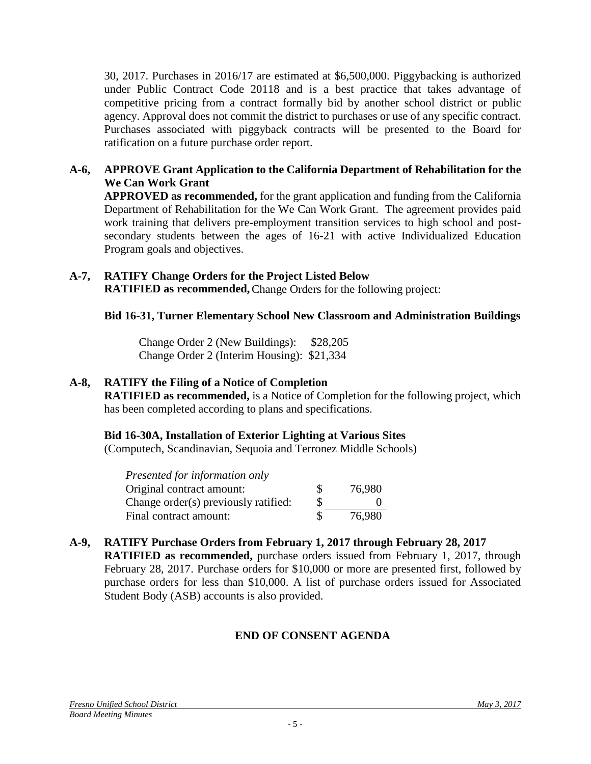30, 2017. Purchases in 2016/17 are estimated at \$6,500,000. Piggybacking is authorized under Public Contract Code 20118 and is a best practice that takes advantage of competitive pricing from a contract formally bid by another school district or public agency. Approval does not commit the district to purchases or use of any specific contract. Purchases associated with piggyback contracts will be presented to the Board for ratification on a future purchase order report.

### **A-6, APPROVE Grant Application to the California Department of Rehabilitation for the We Can Work Grant**

**APPROVED as recommended,** for the grant application and funding from the California Department of Rehabilitation for the We Can Work Grant. The agreement provides paid work training that delivers pre-employment transition services to high school and postsecondary students between the ages of 16-21 with active Individualized Education Program goals and objectives.

# **A-7, RATIFY Change Orders for the Project Listed Below**

**RATIFIED as recommended,**Change Orders for the following project:

## **Bid 16-31, Turner Elementary School New Classroom and Administration Buildings**

Change Order 2 (New Buildings): \$28,205 Change Order 2 (Interim Housing): \$21,334

## **A-8, RATIFY the Filing of a Notice of Completion**

**RATIFIED as recommended,** is a Notice of Completion for the following project, which has been completed according to plans and specifications.

## **Bid 16-30A, Installation of Exterior Lighting at Various Sites**

(Computech, Scandinavian, Sequoia and Terronez Middle Schools)

| Presented for information only       |   |        |
|--------------------------------------|---|--------|
| Original contract amount:            | S | 76,980 |
| Change order(s) previously ratified: | S |        |
| Final contract amount:               |   | 76,980 |

## **A-9, RATIFY Purchase Orders from February 1, 2017 through February 28, 2017 RATIFIED as recommended,** purchase orders issued from February 1, 2017, through

February 28, 2017. Purchase orders for \$10,000 or more are presented first, followed by purchase orders for less than \$10,000. A list of purchase orders issued for Associated Student Body (ASB) accounts is also provided.

# **END OF CONSENT AGENDA**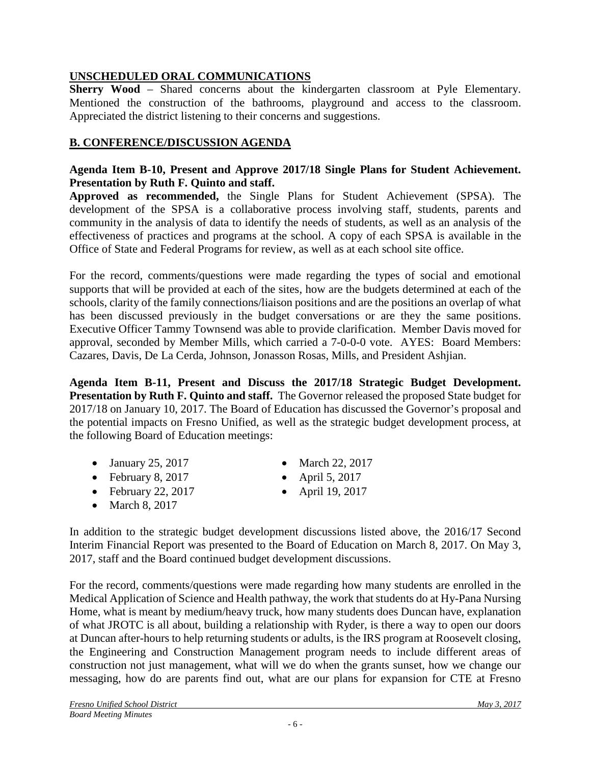## **UNSCHEDULED ORAL COMMUNICATIONS**

**Sherry Wood** – Shared concerns about the kindergarten classroom at Pyle Elementary. Mentioned the construction of the bathrooms, playground and access to the classroom. Appreciated the district listening to their concerns and suggestions.

## **B. CONFERENCE/DISCUSSION AGENDA**

### **Agenda Item B-10, Present and Approve 2017/18 Single Plans for Student Achievement. Presentation by Ruth F. Quinto and staff.**

**Approved as recommended,** the Single Plans for Student Achievement (SPSA). The development of the SPSA is a collaborative process involving staff, students, parents and community in the analysis of data to identify the needs of students, as well as an analysis of the effectiveness of practices and programs at the school. A copy of each SPSA is available in the Office of State and Federal Programs for review, as well as at each school site office.

For the record, comments/questions were made regarding the types of social and emotional supports that will be provided at each of the sites, how are the budgets determined at each of the schools, clarity of the family connections/liaison positions and are the positions an overlap of what has been discussed previously in the budget conversations or are they the same positions. Executive Officer Tammy Townsend was able to provide clarification. Member Davis moved for approval, seconded by Member Mills, which carried a 7-0-0-0 vote. AYES: Board Members: Cazares, Davis, De La Cerda, Johnson, Jonasson Rosas, Mills, and President Ashjian.

**Agenda Item B-11, Present and Discuss the 2017/18 Strategic Budget Development. Presentation by Ruth F. Quinto and staff.** The Governor released the proposed State budget for 2017/18 on January 10, 2017. The Board of Education has discussed the Governor's proposal and the potential impacts on Fresno Unified, as well as the strategic budget development process, at the following Board of Education meetings:

- January 25, 2017 March 22, 2017
- February 8, 2017 April 5, 2017
- February 22, 2017 April 19, 2017
- March 8, 2017
- 
- 
- 

In addition to the strategic budget development discussions listed above, the 2016/17 Second Interim Financial Report was presented to the Board of Education on March 8, 2017. On May 3, 2017, staff and the Board continued budget development discussions.

For the record, comments/questions were made regarding how many students are enrolled in the Medical Application of Science and Health pathway, the work that students do at Hy-Pana Nursing Home, what is meant by medium/heavy truck, how many students does Duncan have, explanation of what JROTC is all about, building a relationship with Ryder, is there a way to open our doors at Duncan after-hours to help returning students or adults, is the IRS program at Roosevelt closing, the Engineering and Construction Management program needs to include different areas of construction not just management, what will we do when the grants sunset, how we change our messaging, how do are parents find out, what are our plans for expansion for CTE at Fresno